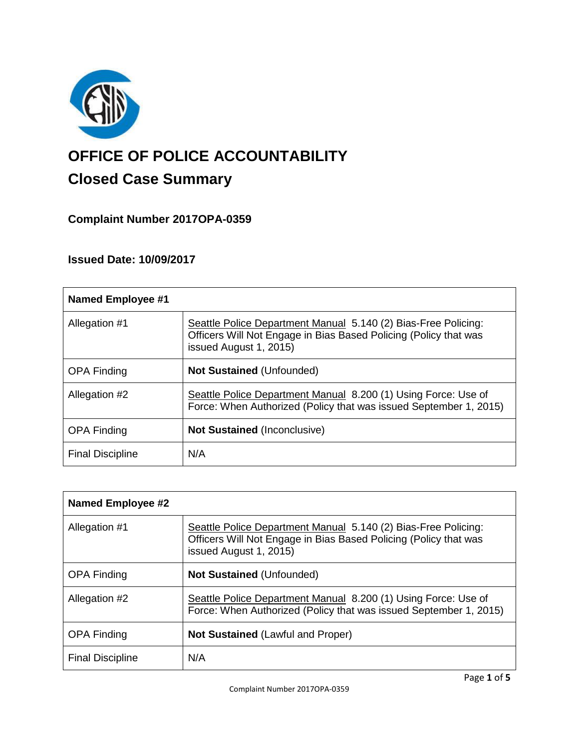

# **OFFICE OF POLICE ACCOUNTABILITY**

# **Closed Case Summary**

**Complaint Number 2017OPA-0359**

**Issued Date: 10/09/2017**

| <b>Named Employee #1</b> |                                                                                                                                                              |
|--------------------------|--------------------------------------------------------------------------------------------------------------------------------------------------------------|
| Allegation #1            | Seattle Police Department Manual 5.140 (2) Bias-Free Policing:<br>Officers Will Not Engage in Bias Based Policing (Policy that was<br>issued August 1, 2015) |
| <b>OPA Finding</b>       | <b>Not Sustained (Unfounded)</b>                                                                                                                             |
| Allegation #2            | Seattle Police Department Manual 8.200 (1) Using Force: Use of<br>Force: When Authorized (Policy that was issued September 1, 2015)                          |
| <b>OPA Finding</b>       | <b>Not Sustained (Inconclusive)</b>                                                                                                                          |
| <b>Final Discipline</b>  | N/A                                                                                                                                                          |

| <b>Named Employee #2</b> |                                                                                                                                                              |
|--------------------------|--------------------------------------------------------------------------------------------------------------------------------------------------------------|
| Allegation #1            | Seattle Police Department Manual 5.140 (2) Bias-Free Policing:<br>Officers Will Not Engage in Bias Based Policing (Policy that was<br>issued August 1, 2015) |
| <b>OPA Finding</b>       | <b>Not Sustained (Unfounded)</b>                                                                                                                             |
| Allegation #2            | Seattle Police Department Manual 8.200 (1) Using Force: Use of<br>Force: When Authorized (Policy that was issued September 1, 2015)                          |
| <b>OPA Finding</b>       | <b>Not Sustained (Lawful and Proper)</b>                                                                                                                     |
| <b>Final Discipline</b>  | N/A                                                                                                                                                          |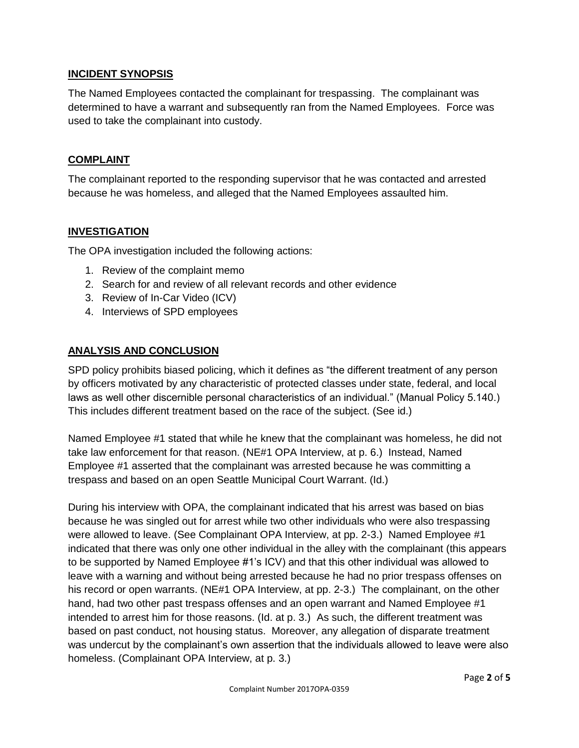# **INCIDENT SYNOPSIS**

The Named Employees contacted the complainant for trespassing. The complainant was determined to have a warrant and subsequently ran from the Named Employees. Force was used to take the complainant into custody.

### **COMPLAINT**

The complainant reported to the responding supervisor that he was contacted and arrested because he was homeless, and alleged that the Named Employees assaulted him.

# **INVESTIGATION**

The OPA investigation included the following actions:

- 1. Review of the complaint memo
- 2. Search for and review of all relevant records and other evidence
- 3. Review of In-Car Video (ICV)
- 4. Interviews of SPD employees

# **ANALYSIS AND CONCLUSION**

SPD policy prohibits biased policing, which it defines as "the different treatment of any person by officers motivated by any characteristic of protected classes under state, federal, and local laws as well other discernible personal characteristics of an individual." (Manual Policy 5.140.) This includes different treatment based on the race of the subject. (See id.)

Named Employee #1 stated that while he knew that the complainant was homeless, he did not take law enforcement for that reason. (NE#1 OPA Interview, at p. 6.) Instead, Named Employee #1 asserted that the complainant was arrested because he was committing a trespass and based on an open Seattle Municipal Court Warrant. (Id.)

During his interview with OPA, the complainant indicated that his arrest was based on bias because he was singled out for arrest while two other individuals who were also trespassing were allowed to leave. (See Complainant OPA Interview, at pp. 2-3.) Named Employee #1 indicated that there was only one other individual in the alley with the complainant (this appears to be supported by Named Employee #1's ICV) and that this other individual was allowed to leave with a warning and without being arrested because he had no prior trespass offenses on his record or open warrants. (NE#1 OPA Interview, at pp. 2-3.) The complainant, on the other hand, had two other past trespass offenses and an open warrant and Named Employee #1 intended to arrest him for those reasons. (Id. at p. 3.) As such, the different treatment was based on past conduct, not housing status. Moreover, any allegation of disparate treatment was undercut by the complainant's own assertion that the individuals allowed to leave were also homeless. (Complainant OPA Interview, at p. 3.)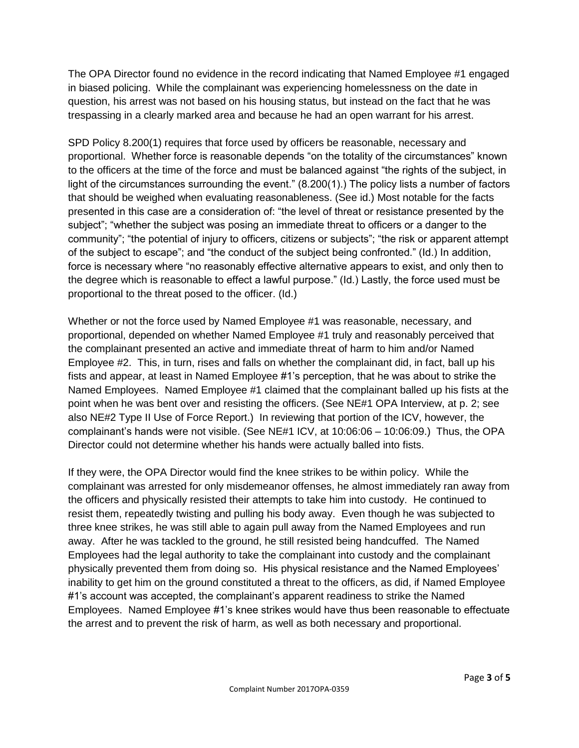The OPA Director found no evidence in the record indicating that Named Employee #1 engaged in biased policing. While the complainant was experiencing homelessness on the date in question, his arrest was not based on his housing status, but instead on the fact that he was trespassing in a clearly marked area and because he had an open warrant for his arrest.

SPD Policy 8.200(1) requires that force used by officers be reasonable, necessary and proportional. Whether force is reasonable depends "on the totality of the circumstances" known to the officers at the time of the force and must be balanced against "the rights of the subject, in light of the circumstances surrounding the event." (8.200(1).) The policy lists a number of factors that should be weighed when evaluating reasonableness. (See id.) Most notable for the facts presented in this case are a consideration of: "the level of threat or resistance presented by the subject"; "whether the subject was posing an immediate threat to officers or a danger to the community"; "the potential of injury to officers, citizens or subjects"; "the risk or apparent attempt of the subject to escape"; and "the conduct of the subject being confronted." (Id.) In addition, force is necessary where "no reasonably effective alternative appears to exist, and only then to the degree which is reasonable to effect a lawful purpose." (Id.) Lastly, the force used must be proportional to the threat posed to the officer. (Id.)

Whether or not the force used by Named Employee #1 was reasonable, necessary, and proportional, depended on whether Named Employee #1 truly and reasonably perceived that the complainant presented an active and immediate threat of harm to him and/or Named Employee #2. This, in turn, rises and falls on whether the complainant did, in fact, ball up his fists and appear, at least in Named Employee #1's perception, that he was about to strike the Named Employees. Named Employee #1 claimed that the complainant balled up his fists at the point when he was bent over and resisting the officers. (See NE#1 OPA Interview, at p. 2; see also NE#2 Type II Use of Force Report.) In reviewing that portion of the ICV, however, the complainant's hands were not visible. (See NE#1 ICV, at 10:06:06 – 10:06:09.) Thus, the OPA Director could not determine whether his hands were actually balled into fists.

If they were, the OPA Director would find the knee strikes to be within policy. While the complainant was arrested for only misdemeanor offenses, he almost immediately ran away from the officers and physically resisted their attempts to take him into custody. He continued to resist them, repeatedly twisting and pulling his body away. Even though he was subjected to three knee strikes, he was still able to again pull away from the Named Employees and run away. After he was tackled to the ground, he still resisted being handcuffed. The Named Employees had the legal authority to take the complainant into custody and the complainant physically prevented them from doing so. His physical resistance and the Named Employees' inability to get him on the ground constituted a threat to the officers, as did, if Named Employee #1's account was accepted, the complainant's apparent readiness to strike the Named Employees. Named Employee #1's knee strikes would have thus been reasonable to effectuate the arrest and to prevent the risk of harm, as well as both necessary and proportional.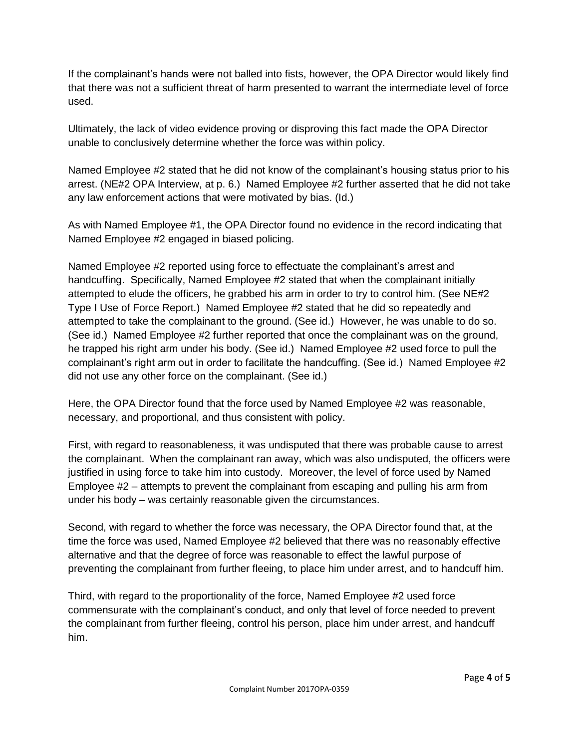If the complainant's hands were not balled into fists, however, the OPA Director would likely find that there was not a sufficient threat of harm presented to warrant the intermediate level of force used.

Ultimately, the lack of video evidence proving or disproving this fact made the OPA Director unable to conclusively determine whether the force was within policy.

Named Employee #2 stated that he did not know of the complainant's housing status prior to his arrest. (NE#2 OPA Interview, at p. 6.) Named Employee #2 further asserted that he did not take any law enforcement actions that were motivated by bias. (Id.)

As with Named Employee #1, the OPA Director found no evidence in the record indicating that Named Employee #2 engaged in biased policing.

Named Employee #2 reported using force to effectuate the complainant's arrest and handcuffing. Specifically, Named Employee #2 stated that when the complainant initially attempted to elude the officers, he grabbed his arm in order to try to control him. (See NE#2 Type I Use of Force Report.) Named Employee #2 stated that he did so repeatedly and attempted to take the complainant to the ground. (See id.) However, he was unable to do so. (See id.) Named Employee #2 further reported that once the complainant was on the ground, he trapped his right arm under his body. (See id.) Named Employee #2 used force to pull the complainant's right arm out in order to facilitate the handcuffing. (See id.) Named Employee #2 did not use any other force on the complainant. (See id.)

Here, the OPA Director found that the force used by Named Employee #2 was reasonable, necessary, and proportional, and thus consistent with policy.

First, with regard to reasonableness, it was undisputed that there was probable cause to arrest the complainant. When the complainant ran away, which was also undisputed, the officers were justified in using force to take him into custody. Moreover, the level of force used by Named Employee #2 – attempts to prevent the complainant from escaping and pulling his arm from under his body – was certainly reasonable given the circumstances.

Second, with regard to whether the force was necessary, the OPA Director found that, at the time the force was used, Named Employee #2 believed that there was no reasonably effective alternative and that the degree of force was reasonable to effect the lawful purpose of preventing the complainant from further fleeing, to place him under arrest, and to handcuff him.

Third, with regard to the proportionality of the force, Named Employee #2 used force commensurate with the complainant's conduct, and only that level of force needed to prevent the complainant from further fleeing, control his person, place him under arrest, and handcuff him.